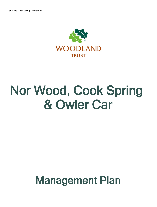

# Nor Wood, Cook Spring & Owler Car

## Management Plan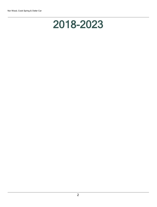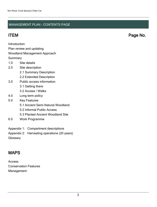### MANAGEMENT PLAN - CONTENTS PAGE

ITEM Page No.

Introduction

Plan review and updating

#### Woodland Management Approach

**Summary** 

- 1.0 Site details
- 2.0 Site description
	- 2.1 Summary Description
	- 2.2 Extended Description
- 3.0 Public access information
	- 3.1 Getting there
	- 3.2 Access / Walks
- 4.0 Long term policy
- 5.0 Key Features
	- 5.1 Ancient Semi Natural Woodland
	- 5.2 Informal Public Access
	- 5.3 Planted Ancient Woodland Site
- 6.0 Work Programme
- Appendix 1: Compartment descriptions
- Appendix 2: Harvesting operations (20 years)
- **Glossary**

## MAPS

Access Conservation Features Management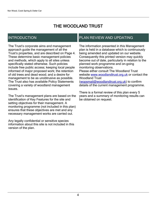## THE WOODLAND TRUST

## INTRODUCTION

The Trust's corporate aims and management approach guide the management of all the Trust's properties, and are described on Page 4. These determine basic management policies and methods, which apply to all sites unless specifically stated otherwise. Such policies include free public access; keeping local people informed of major proposed work; the retention of old trees and dead wood; and a desire for management to be as unobtrusive as possible. The Trust also has available Policy Statements covering a variety of woodland management issues.

The Trust's management plans are based on the identification of Key Features for the site and setting objectives for their management. A monitoring programme (not included in this plan) ensures that these objectives are met and any necessary management works are carried out.

Any legally confidential or sensitive species information about this site is not included in this version of the plan.

## PLAN REVIEW AND UPDATING

The information presented in this Management plan is held in a database which is continuously being amended and updated on our website. Consequently this printed version may quickly become out of date, particularly in relation to the planned work programme and on-going monitoring observations. Please either consult The Woodland Trust website [www.woodlandtrust.org.uk](http://www.woodlandtrust.org.uk/) or contact the Woodland Trust [\(wopsmail@woodlandtrust.org.uk](mailto:wopsmail@woodlandtrust.org.uk)) to confirm

details of the current management programme.

There is a formal review of this plan every 5 years and a summary of monitoring results can be obtained on request.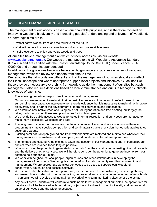## WOODLAND MANAGEMENT APPROACH

The management of our woods is based on our charitable purposes, and is therefore focused on improving woodland biodiversity and increasing peoples' understanding and enjoyment of woodland. Our strategic aims are to:

- Protect native woods, trees and their wildlife for the future
- Work with others to create more native woodlands and places rich in trees
- Inspire everyone to enjoy and value woods and trees

All our sites have a management plan which is freely accessible via our website [www.woodlandtrust.org.uk.](http://www.woodlandtrust.org.uk/) Our woods are managed to the UK Woodland Assurance Standard (UKWAS) and are certified with the Forest Stewardship Council® (FSC®) under licence FSC-C009406 and through independent audit.

In addition to the guidelines below we have specific guidance and policies on issues of woodland management which we review and update from time to time.

We recognise that all woods are different and that the management of our sites should also reflect their local landscape and where appropriate support local projects and initiatives. Guidelines like these provide a necessary overarching framework to guide the management of our sites but such management also requires decisions based on local circumstances and our Site Manager's intimate knowledge of each site.

The following guidelines help to direct our woodland management:

- 1. Our woods are managed to maintain their intrinsic key features of value and to reflect those of the surrounding landscape. We intervene when there is evidence that it is necessary to maintain or improve biodiversity and to further the development of more resilient woods and landscapes.
- 2. We establish new native woodland using both natural regeneration and tree planting, but largely the latter, particularly when there are opportunities for involving people.
- 3. We provide free public access to woods for quiet, informal recreation and our woods are managed to make them accessible, welcoming and safe.
- 4. The long term vision for our non-native plantations on ancient woodland sites is to restore them to predominantly native species composition and semi-natural structure, a vision that equally applies to our secondary woods.
- 5. Existing semi-natural open-ground and freshwater habitats are restored and maintained wherever their management can be sustained and new open ground habitats created where appropriate.
- 6. The heritage and cultural value of sites is taken into account in our management and, in particular, our ancient trees are retained for as long as possible.
- 7. Woods can offer the potential to generate income both from the sustainable harvesting of wood products and the delivery of other services. We will therefore consider the potential to generate income from our estate to help support our aims.
- 8. We work with neighbours, local people, organisations and other stakeholders in developing the management of our woods. We recognise the benefits of local community woodland ownership and management. Where appropriate we allow our woods to be used to support local woodland, conservation, education and access initiatives.
- 9. We use and offer the estate where appropriate, for the purpose of demonstration, evidence gathering and research associated with the conservation, recreational and sustainable management of woodlands. In particular we will develop and maintain a network of long-term monitoring sites across the estate.
- 10 Any activities we undertake will conform to sustainable forest management principles, be appropriate for the site and will be balanced with our primary objectives of enhancing the biodiversity and recreational value of our woods and the wider landscapes.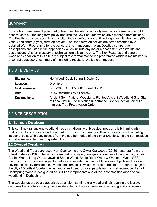## SUMMARY

This public management plan briefly describes the site, specifically mentions information on public access, sets out the long term policy and lists the Key Features which drive management actions. The Key Features are specific to this site - their significance is outlined together with their long (50 year+) and short (5 year) term objectives. The short term objectives are complemented by a detailed Work Programme for the period of this management plan. Detailed compartment descriptions are listed in the appendices which include any major management constraints and designations. A short glossary of technical terms is at the end. The Key Features and general woodland condition of this site are subject to a formal monitoring programme which is maintained in a central database. A summary of monitoring results is available on request.

## 1.0 SITE DETAILS

| Site name:      | Nor Wood, Cook Spring & Owler Car                                                                                                                                              |
|-----------------|--------------------------------------------------------------------------------------------------------------------------------------------------------------------------------|
| Location:       | <b>Dronfield</b>                                                                                                                                                               |
| Grid reference: | SK373803, OS 1:50,000 Sheet No. 110                                                                                                                                            |
| Area:           | 30.57 hectares (75.54 acres)                                                                                                                                                   |
| Designations:   | Ancient Semi Natural Woodland, Planted Ancient Woodland Site, Site<br>of Local Nature Conservation Importance, Site of Special Scientific<br>Interest, Tree Preservation Order |

## 2.0 SITE DESCRIPTION

#### 2.1 Summary Description

This semi-natural ancient woodland has a rich diversity of broadleaf trees and is brimming with wildlife. But look beyond its wild and natural appearance, and you'll find evidence of a fascinating industrial past. With easy access from the southern edge of the city of Sheffield, it's the perfect place to find some respite from busy urban life.

#### 2.2 Extended Description

The Woodland Trust purchased Nor, Cookspring and Owler Car woods (30.80 hectares) from the Sitwell Estate in 1988. The woods form part of a larger, contiguous complex of woodlands (including Coalpit Wood, Long Wood, Newfield Spring Wood, Bridle Road Wood & Whinacre Wood SSSI) much of which is now managed for nature conservation and/or public access objectives. Despite having a distinctly rural feel, the woodland complex is within two kilometres of the southern edge of the city of Sheffield (Jordanthorpe) and is well used by local people for informal recreation. Part of Cookspring Wood is designated as SSSI as it represents one of the least modified areas of oak woodland in Derbyshire.

The woodlands are best categorised as ancient semi-natural woodland, although in the last two centuries the site has undergone considerable modification from surface mining and successive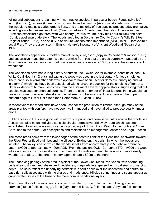felling and subsequent re-planting with non-native species, in particular beech (Fagus sylvatica), larch (Larix sp.), red oak (Quercus rubra), maple and sycamore (Acer pseudoplatanus). However, the woodland retains a varied ground flora, and the majority of tree species present today are native, including excellent examples of oak (Quercus petraea, Q. robur and the hybrid Q. rosacea), ash (Fraxinus excelsior) high forest with wild cherry (Prunus avium), holly (Ilex aquilifolium) and hazel (Corylus avellana) understory. The woods are cited in Derbyshire County Council's Wildlife Sites Register (Anon, 1995), and as a Site of Nature Conservation Importance (SINC) in N.E Derbyshire's Local Plan. They are also listed in English Nature's Inventory of Ancient Woodland (Bevan et al, 1992).

The woodlands appear on Burdetts's map of Derbyshire, 1791 (copy in Rotherham & Avison, 1988) and successive maps thereafter. We can surmise from this that the areas currently managed by the Trust have almost certainly had continuous woodland cover since 1600, and are therefore ancient woodlands.

The woodlands have had a long history of human use. Owler Car for example, contains at least 25 White Coal Hearths (Q pits), indicating the wood was used in the last century for lead smelting. There are also several other pits which appear to have been used for domestic quarrying and 24 'platforms' which may have been associated with charcoal production for the smelting of iron-ore. Other evidence of human use comes from the survival of several coppice stools, suggesting that cut coppice was used for charcoal burning. There are also a number of linear features in the woodlands, possibly former drainage networks, and what seems to be an ancient woodbank on the upper eastern edge of Owler Car Wood (see Rotherham & Avison, 1998).

In recent years the woodlands have been used for the production of timber, although many of the areas planted with conifers have not been well managed and have failed to produce quality timber crops.

Public access to the site is good with a network of public and permissive paths across the whole site. Access can also be gained via a sensible circular permissive bridleway route which has been established, following route improvements providing a link with Long Wood to the north and Owler Carr Lane to the south. For descriptions and restrictions on management access see Legal Section.

The Moss brook flows from the lower edges of the eastern flank of the Pennines, eastwards toward the River Rother flood plain beyond the village of Eckington, the parish in which the woods are situated. The valley side on which the woods lie falls from approximately 225m above ordnance datum (AOD) to approximately 100m AOD. From the ancient Owler Car Lane (170m AOD) the wood falls via a series of concave slopes (due to resistant sandstone), and flatter areas of more easily weathered shales, to the stream bottom approximately 500m to the north.

The underlying geology of the area is typical of the Lower Coal Measures Series, with alternating beds of sandstones, and shales and mudstones, irregularly interspersed with coal seams of varying depth. The soils reflect the underlying bedrock with acidic soils over the sandstone and neutral to base rich soils associated with the shales and mudstones. Hillside spring-lines and seeps appear as groundwater issues at the base of the more porous sandstone layers.

The ground flora of the woodlands is often dominated by one or two of the following species: bramble (Rubus fruticosus agg.), ferns (Dryopteris dilitata, D. felix-mas and Athyrium felix femina),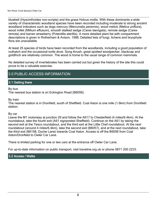bluebell (Hyacinthoides non-scripta) and the grass Holcus mollis. With these dominants a wide variety of characteristic woodland species have been recorded including moderate to strong ancient woodland indicators such as dogs mercury (Mercurialis perennis), wood melick (Melica uniflora), wood millet (Millium effusum), smooth stalked sedge (Carex laevigata), remote sedge (Carex remota) and barren strawberry (Potentilla sterillis). A more detailed plant list with compartment descriptions is given in Rotherham & Avison, 1998. Detailed lists of fungi, lichens and bryophyte flora are unavailable.

At least 25 species of birds have been recorded from the woodlands, including a good population of nuthatch and the occasional turtle dove. Song thrush, great spotted woodpecker, blackcap and goldfinch are relatively common. The wood is home to the usual range of common mammals.

No detailed survey of invertebrates has been carried out but given the history of the site this could prove to be a valuable exercise.

## 3.0 PUBLIC ACCESS INFORMATION

#### 3.1 Getting there

By bus

The nearest bus station is on Eckington Road (B6056).

By train

The nearest station is in Dronfield, south of Sheffield. Coal Aston is one mile (1.6km) from Dronfield station.

#### By car

Leave the M1 motorway at junction 29 and follow the A617 to Chesterfield (4 miles/6.4km). At the roundabout, take the fourth exit (A61 signposted Sheffield). Continue on the A61 by taking the second exit at the Tesco roundabout, and the third exit at the Little Chef roundabout. At the next roundabout (around 4 miles/6.4km), take the second exit (B6057), and at the next roundabout, take the third exit (B6158, Dyche Lane) towards Coal Aston. Access is off the B6056 from Coal Aston/Dronfield to Owler Car Lane.

There is limited parking for one or two cars at the entrance off Owler Car Lane.

For up-to-date information on public transport, visit traveline.org.uk or phone 0871 200 2233.

#### 3.2 Access / Walks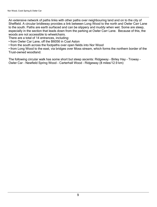An extensive network of paths links with other paths over neighbouring land and on to the city of Sheffield. A circular bridleway provides a link between Long Wood to the north and Owler Carr Lane to the south. Paths are earth surfaced and can be slippery and muddy when wet. Some are steep, especially in the section that leads down from the parking at Owler Carr Lane. Because of this, the woods are not accessible to wheelchairs.

There are a total of 14 entrances, including:

from Owler Car Lane, off the B6056 in Coal Aston

from the south across the footpaths over open fields into Nor Wood

from Long Wood to the east, via bridges over Moss stream, which forms the northern border of the Trust-owned woodland.

The following circular walk has some short but steep ascents: Ridgeway - Birley Hay - Troway - Owler Car - Newfield Spring Wood - Carterhall Wood - Ridgeway (8 miles/12.9 km)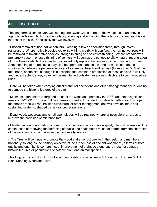## 4.0 LONG TERM POLICY

The long term vision for Nor, Cookspring and Owler Car is to return the woodland to an uneven aged, broadleaved, high forest woodland, retaining and enhancing the botanical, faunal and historic interest of the site. Specifically this will involve:

- Phased removal of non-native conifers, (keeping a few as specimen trees) through PAWS restoration. Where native broadleaves exist within a matrix with conifers, the non-native trees will be removed to favour native species through thinning and selective thinning. Where broadleaves are largely absent, phased thinning of conifers will open up the canopy to allow natural regeneration of broadleaves which, it is intended, will eventually replace the conifers as the main canopy trees. Some thinning of broadleaves may also be appropriate and in the long term it is intended to significantly reduce the percentage cover of sycamore, beech and red oak (to less than 50% of the total trees) on the site, although it is accepted that complete eradication of these species is unlikely and undesirable. Canopy cover will be maintained outside those areas which are to be managed as rides.

- Care will be taken when carrying out silivicultural operations and other management operations not to damage the historic features of the site.

- Minimum intervention in targeted areas of the woodland, primarily the SSSI and other significant areas of NVC W10 . These will be in areas currently dominated by native broadleaves. It is hoped that these areas will require little silvicultural or other management and will develop into a selfsustaining systems, shaped by natural processes alone.

- Dead wood, wet areas and small open glades will be retained wherever possible in all areas to improve the provision of microhabitats.

- Maintenance and upgrading of a network of paths and rides to allow quiet, informal recreation. Any continuation of renewing the surfacing of public and bridle paths must not detract from the character of the woodlands or compromise the biodiversity interest.

- The Trust will continue to promote the woodland amongst people in the region and members nationally so long as the primary objective of 'no further loss of ancient woodland' (in terms of both quality and quantity) is compromised. Improvement of drainage along paths must not damage historic features or populations of notable plant and animal species.

This long term vision for Nor Cookspring and Owler Car is in line with the aims in the Trust's Action Plan 'Keeping Woodland Alive'.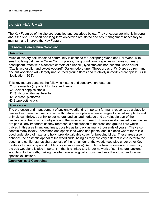## 5.0 KEY FEATURES

The Key Features of the site are identified and described below. They encapsulate what is important about the site. The short and long-term objectives are stated and any management necessary to maintain and improve the Key Feature.

#### 5.1 Ancient Semi Natural Woodland

#### **Description**

Much of this dry oak woodland community is confined to Cookspring Wood and Nor Wood, with small outlying patches in Owler Car. In places, the ground flora is species rich (see summary description), often with extensive carpets of bluebell (Hyacinthoides non-scripta), wood sorrel (Oxalis acetosella) and sweet woodruff (Galium odoratum). These areas of W10 are true remnant ancient woodland with 'largely undisturbed ground floras and relatively unmodified canopies' (SSSI Notification 1993).

This key feature contains the following historic and conservation features:

- C1 Streamsides (important for flora and fauna)
- C2 Ancient coppice stools
- H1 Q pits or white coal hearths
- H2 Charcoal platforms
- H3 Stone getting pits

#### **Significance**

The protection and management of ancient woodland is important for many reasons: as a place for people to experience direct contact with nature, as a place where a range of specialised plants and animals can thrive, as a link to our natural and cultural heritage and as valuable part of the landscape of the British countryside and the wider environment. These oak dominated communities are particularly important as they represent a continuation of the trees and ground flora which thrived in this area in ancient times, possibly as far back as many thousands of years. They also contain many locally uncommon and specialised woodland plants, and in places where there is a good understory of hazel and holly, provide valuable cover for breeding birds. These areas also enhance the aesthetic appeal of the woodlands, being as they are very different in character to the beech and conifer stands characteristic of the remainder of the woods (see also under other Key Features for landscape and public access importance). As with the beech dominated community, the oak woodland is also important in that it is linked to a larger network of semi-natural ancient woodland to the north, making the site more ecologically robust and less likely to suffer localised species extinctions.

#### Opportunities & Constraints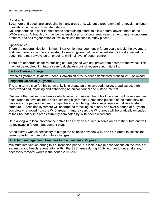#### Constraints:

Sycamore and beech are spreading in many areas and, without a programme of removal, may begin to establish in the oak dominated stands.

Oak regeneration is poor in most areas constraining efforts to allow natural development of the W10e stands. Although this may be the result of a run of poor seed years rather than any long term problem, and oak regeneration at low levels can be seen in many places.

#### Opportunities:

There are opportunities for minimum intervention management in future years should the sycamore and beech eradication be successful. However, given that the adjacent stands are dominated by beech there may always be an ongoing, minimal level of beech control.

There are opportunties for re-stocking natural glades with oak grown from acorns in the wood. This may not be required if in future years oak shows signs of regenerating naturallly.

#### Factors Causing Change

Invasive Sycamore, Invasive Beech, Conversion of W15 beech dominated areas to W10 oakwood

#### Long term Objective (50 years+)

The long term vision for this community is to create an uneven aged, native, broadleaved, high forest woodland, retaining and enhancing botanical, faunal and historic interest.

Oak and other native broadleaves which currently make up the bulk of the stand will be retained and encouraged to develop into a self-sustaining high forest. Some manipulation of the stand may be necessary to open up the canopy gaps thereby facilitating natural regeneration to diversify stand structure. Beech and sycamore will be targeted for felling as priority and over a period of 50 years completely removed from the W10 areas. In future years the W10 areas will be gradually extended at their boundary into areas currently dominated by W15 beech woodland.

Re-planting with local provenance native trees may be required in some areas in the future and will be reviewed in future management plans.

Stand survey work is necessary to guage the balance between W10 and W15 areas to assess the current position and monitor future changes.

#### Short term management Objectives for the plan period (5 years)

Minimum intervention during this current plan period, but look to make observations on the levels of sycamore and beech regeneration within the SSSI areas during 2019, in order to undertake any necessary removal works in the period 2019-2023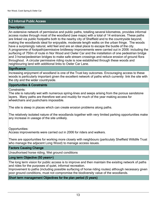#### 5.2 Informal Public Access

#### **Description**

An extensive network of permissive and public paths, totalling several kilometres, provides informal access routes through most of the woodland (see maps) with a total of 14 entrances. These paths are linked via public footpaths both to the nearby city of Sheffield and to the countryside beyond, making the woodlands ideal for enjoyable, moderate length walks on the urban fringe. The woods have a surprisingly natural, wild feel and are an ideal place to escape the bustle of the city. A programme of footpath/permissive bridleway improvements were carried out in 2006: including the surfacing of 750m of route in Nor Wood and Owler Car and the installation of one pedestrian bridge and 3 horse/pedestrian bridges to make safe stream crossings and reduce erosion of ground flora throughout. A circular permissive riding route is now established through these woods and neighbouring land with additional links to Owler Car Lane.

#### **Significance**

Increasing enjoyment of woodland is one of the Trust key outcomes. Encouraging access to these woods is particularly important given the excellent network of paths which currently link the site with the city and the wider countryside.

#### Opportunities & Constraints

Constraints:

The site is naturally wet with numerous spring-lines and seeps arising from the porous sandstone layers. Many paths are therefore wet and muddy for much of the year making access for wheelchairs and pushchairs impossible.

The site is steep in places which can create erosion problems along paths.

The relatively isolated nature of the woodlands together with very limited parking opportunities make any increase in useage of the site unlikely.

Opportunities:

Access improvements were carried out in 2006 for riders and walkers.

There are opportunities for working more closely with neighbours (particulaly Sheffield Willdife Trust who manage the adjacent Long Wood) to manage access issues.

#### Factors Causing Change

Unauthorised horse riding, Wet ground conditions

#### Long term Objective (50 years+)

The long term vision for public access is to improve and then maintain the exisitng network of paths and rides for the purposes of quiet, informal recreation.

Improvement to paths (including possible surfacing of horse riding routes) although necessary given poor ground conditions, must not compromise the biodiversity value of the woodlands.

#### Short term management Objectives for the plan period (5 years)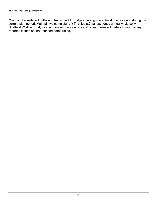Maintain the surfaced paths and tracks and 4x bridge crossings on at least one occasion during the current plan period. Maintain welcome signs (x6), stiles (x2) at least once annually. Liaise with Sheffeild Wildlife Trust, local authorities, horse riders and other interested parties to resolve any reported issues of unauthorised horse riding.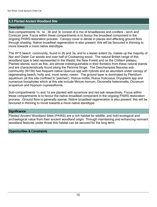#### 5.3 Planted Ancient Woodland Site

#### **Description**

Sub-compartments 1b, 1e , 3b and 3c consist of a mix of broadleaves and conifers - larch and Corsican pine. Focus within these compartments is to favour the broadleaf component in the ongoing PAWS restoration process . Canopy cover is dense in places and affecting ground flora through shading. Native broadleaf regeneration is also present: this will be favoured in thinning to move towards a more native standtype.

The W15 beech community, found in 2b and 3a, and to a lesser extent 2a, makes up the majority of Nor and Owler Car woods and over half of Cookspring wood. The natural British range of this woodland type is best represented in the Weald, the New Forest and on the Chiltern plateau. Planted stands, such as this, are almost indistinguishable in their floristics from these natural stands and are characteristically found along the Pennine fringe. The Deschampsia flexuosa subcommunity (W15b) has frequent native Quercus spp with hybrids and an abundant under canopy of regenerating beech, holly and, more rarely, rowan. The ground layer is dominated by Pteridium aquilinium (at this site confined to 'patches'), Holcus mollis, Rubus fruticosus, Dryopteris spp and numerous bryophytes which at this site include Mnium hornum, Dicranella heteromalla, Dicranum scoparium and Hypnum cupressiforme.

Sub-compartments 1c and 1d are planted with sycamore and red oak respectively. Focus within these compartments is to favour the native broadleaf component in the ongoing PAWS restoration process . Ground flora is generally sparse. Native broadleaf regeneration is also present: this will be favoured in thinning to move towards a more native standtype.

#### **Significance**

Planted Ancient Woodland Sites (PAWS) are a rich habitat for wildlife, and hold ecological and archaelogical value from their ancient woodland origin. Through maintaining and enhancing remnant woodland features under threat this habitat can be secured for the long term.

#### Opportunities & Constraints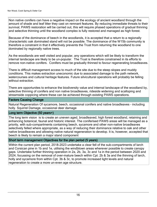Non native conifers can have a negative impact on the ecology of ancient woodland through the amount of shade and leaf litter they cast on remnant features. By reducing immediate threats to their survival, PAWS restoration will be carried out, this will require phased operations of gradual thinning and selective thinning until the woodland complex is fully restored and managed as high forest.

Because of the dominance of beech in the woodlands, it is accepted that a return to a regionally characteristic oak dominated stand will not be possible. The dominance of the W15b community is therefore a constraint in that it effectively prevents the Trust from returning the woodland to one dominated by regionally native trees.

As the woodlands are well visited and popular, any operations which will be likely to transform the internal landscape are likely to be un-popular. The Trust is therefore constrained in its efforts to remove non-native conifers. Conifers must be gradually thinned to favour regenerating broadleaves.

There is difficult management access to much of the site due to the steep slopes and muddy conditions. This makes extraction uneconomic due to associated damage to the path network, watercourses and cultural heritage features. Future silvicultural operations will probably be felling without extraction.

There are opportunites to enhance the biodiversity value and internal landscape of the woodland by, selective thinning of conifers and non native broadleaves, rideside widening and scalloping and streamside coppicing where these can be achieved through existing PAWS operations.

#### Factors Causing Change

Natural Regeneration Of sycamore, beech, occasional conifers and native broadleaves - including holly. Squirrel Damage, occasional deer damage

#### Long term Objective (50 years+)

The long term vision is to create an uneven aged, broadleaved, high forest woodland, retaining and enhancing botanical, faunal and historic interest. The coniferised PAWS areas will be managed as a priority, with sub-compartments containing beech, sycamore and other non-native broadleaves selectively felled where appropriate, as a way of reducing their dominance relative to oak and other native broadleaves and allowing native natural regeneration to develop. It is, however, accepted that beech is likely to remain a major stand component

#### Short term management Objectives for the plan period (5 years)

Within the current plan period, 2018-2023 undertake a clear fell of the sub-compartments of larch and Corsican pine in 1b and 1e, utilising the windblown areas wherever possible to create canopy gaps. Undertake further thinning operation in 2a, 2b, 3a, 3c and 1a in the period between 2020 and 2024, focussing on the removal of over-mature beech within Cpt. 2b & 3a and the thinning of larch, holly and sycamore from within Cpt. 3b & 3c, to promote increased light levels and natural regeneration to create a more un-even age structure.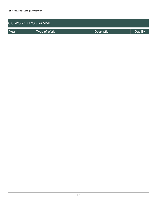| 6.0 WORK PROGRAMME |                     |                    |        |  |  |  |
|--------------------|---------------------|--------------------|--------|--|--|--|
| Year               | <b>Type of Work</b> | <b>Description</b> | Due By |  |  |  |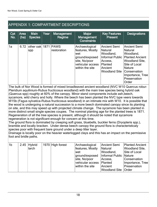## APPENDIX 1: COMPARTMENT DESCRIPTIONS

| Cpt<br>No. | Area<br>(ha) | <b>Main</b><br><b>Species</b> | Year | <b>Management</b><br>Regime | <b>Major</b><br><b>Management</b><br><b>Constraints</b>                                                              | <b>Key Features</b><br><b>Present</b>                                                                | <b>Designations</b>                                                                                                                                                                                      |
|------------|--------------|-------------------------------|------|-----------------------------|----------------------------------------------------------------------------------------------------------------------|------------------------------------------------------------------------------------------------------|----------------------------------------------------------------------------------------------------------------------------------------------------------------------------------------------------------|
| 1a         | 6.72         | other oak 1871<br> spp        |      | <b>PAWS</b><br>restoration  | Archaeological<br>features, Mostly<br>lwet<br>ground/exposed<br>site, No/poor<br>vehicular access<br>within the site | <b>Ancient Semi</b><br>Natural<br>Woodland,<br>Access,<br>Planted<br>Ancient<br><b>Woodland Site</b> | Ancient Semi<br><b>Natural</b><br>Woodland,<br>Informal Public   Planted Ancient<br><b>Woodland Site,</b><br>Site of Local<br>Nature<br><b>Conservation</b><br>Importance, Tree<br>Preservation<br>Order |

The bulk of Nor Wood is formed of mixed broadleaved ancient woodland (NVC W10 Quercus robur-Pteridium aquilinium-Rubus fructicosus woodland) with the main tree species being hybrid oak (Quercus spp) roughly at 60% of the canopy. Minor stand components include ash,beech, sycamore, wild cherry and holly. Where the beech has been planted the NVC type veers towards W15b (Fagus sylvatica-Rubus fructicosus woodland) in an intimate mix with W10. It is possible that the wood is undergoing a natural succession to a more beech dominated canopy since its planting on site, and this may speed up with projected climate change. The sycamore has been planted in more distinct small single species coupes. The nominal planting age for the planted trees is 1871. Regeneration of all the tree species is present, although it should be noted that sycamore regeneration is not significant enough for concern at this time.

The ground flora is dominated by creeping soft grass, bluebells, buckler ferns (Dryopteris spp.), bramble and locally bracken. Under dense beech canopy the ground flora is characteristicaly species poor with frequent bare ground under a deep litter layer.

Drainage is locally poor on the heavier waterlogged clays and this has an impact on the permissive foot and bridle paths.

| 1 <sub>b</sub> | $2.45$ Hybrid | 1970 High forest | Archaeological                            | Ancient Semi                 | <b>Planted Ancient</b> |
|----------------|---------------|------------------|-------------------------------------------|------------------------------|------------------------|
|                | llarch        |                  | features, Mostly                          | Natural                      | <b>Woodland Site,</b>  |
|                |               |                  | wet                                       | Woodland,                    | Site of Local          |
|                |               |                  | ground/exposed   Informal Public   Nature |                              |                        |
|                |               |                  | site, No/poor                             | Access,                      | Conservation           |
|                |               |                  | vehicular access                          | Planted                      | Importance, Tree       |
|                |               |                  | within the site                           | Ancient                      | Preservation           |
|                |               |                  |                                           | <b>Woodland Site   Order</b> |                        |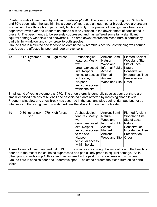Planted stands of beech and hybrid larch mixtures p1970. The composition is roughly 70% larch and 30% beech after the last thinning a couple of years ago although other broadleaves are present in small numbers throughout, particularly birch and holly. The previous thinnings have been very haphazard (with over and under thinning)and a wide variation in the development of each stand is present. The beech tends to be severely suppressed and has suffered some fairly significant squirrel damage/ windblow and snowbreak. The area down towards the Moss Burn is particularly badly hit by windblow and snow break to both species.

Ground flora is restricted and tends to be dominated by bramble since the last thinning was carried out. Areas are affected by poor drainage on clay soils.

| 1 <sub>c</sub> |   | 0.17 Sycamor   1970 High forest | Archaeological   | Ancient Semi           | <b>Planted Ancient</b> |
|----------------|---|---------------------------------|------------------|------------------------|------------------------|
|                | e |                                 | features, Mostly | Natural                | <b>Woodland Site,</b>  |
|                |   |                                 | wet              | Woodland,              | Site of Local          |
|                |   |                                 | ground/exposed   | Informal Public Nature |                        |
|                |   |                                 | site, No/poor    | Access,                | Conservation           |
|                |   |                                 | vehicular access | Planted                | Importance, Tree       |
|                |   |                                 | to the site,     | Ancient                | Preservation           |
|                |   |                                 | No/poor          | Woodland Site   Order  |                        |
|                |   |                                 | vehicular access |                        |                        |
|                |   |                                 | within the site  |                        |                        |

Small stand of young sycamore p1970. The understorey is generally species poor but there are smalll localised patches of bluebell and associated plants affected by incresing shade levels. Frequent windblow and snow break has occurred in the past and also squirrel damage but not as intense as in the young beech stands. Adjoins the Moss Burn on the north side.

| 1d |     | 0.30 other oak 1970 High forest | Archaeological             | Ancient Semi           | <b>Planted Ancient</b> |
|----|-----|---------------------------------|----------------------------|------------------------|------------------------|
|    | spp |                                 | features, Mostly           | Natural                | <b>Woodland Site,</b>  |
|    |     |                                 | wet                        | Woodland,              | Site of Local          |
|    |     |                                 | ground/exposed             | Informal Public Nature |                        |
|    |     |                                 | site, No/poor              | Access,                | Conservation           |
|    |     |                                 | vehicular access   Planted |                        | Importance, Tree       |
|    |     |                                 | to the site,               | Ancient                | Preservation           |
|    |     |                                 | No/poor                    | Woodland Site   Order  |                        |
|    |     |                                 | vehicular access           |                        |                        |
|    |     |                                 | within the site            |                        |                        |

A small stand of beech and red oak p1970. The species are in rough balance although the beech is poor as in the rest of the cpt being suppressed and particularly prone to squirrel damage. As in other young stands in cpt1, this stand has suffered in the past from snowbreak and snowbend. Ground flora is species poor and underdeveloped. The stand borders the Moss Burn on its north edge.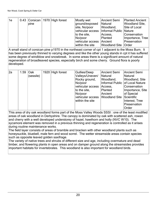| 1e |      | 0.43 Corsican   1970 High forest | Mostly wet                                  | Ancient Semi                 | <b>Planted Ancient</b> |
|----|------|----------------------------------|---------------------------------------------|------------------------------|------------------------|
|    | pine |                                  | ground/exposed                              | Natural                      | <b>Woodland Site,</b>  |
|    |      |                                  | site, No/poor                               | Woodland,                    | Site of Local          |
|    |      |                                  | vehicular access   Informal Public   Nature |                              |                        |
|    |      |                                  | to the site,                                | Access,                      | Conservation           |
|    |      |                                  | No/poor                                     | Planted                      | Importance, Tree       |
|    |      |                                  | vehicular access Ancient                    |                              | Preservation           |
|    |      |                                  | within the site                             | <b>Woodland Site   Order</b> |                        |

A small stand of corsican pine p1970 in the northeast corner of cpt 1 adjacent to the Moss Burn. It has been previously thinned to varying degrees and like the other young stands in cpt it has suffered some degree of windblow and snowbreak. In some areas there is a significant amount of natural regeneration of broadleaved species, especially birch and some cherry. Ground flora is poorly developed.

| 2a | 1.59 | Oak<br>(sessile) | 1920 High forest | Gullies/Deep<br>Valleys/Uneven/<br>Rocky ground,<br>No/poor<br>vehicular access<br>to the site,<br>No/poor<br>vehicular access<br>within the site | Ancient Semi<br>Natural<br>Woodland,<br>Access,<br>Planted<br>Ancient<br><b>Woodland Site</b> | Ancient Semi<br>Natural<br><b>Woodland, Site</b><br>Informal Public   of Local Nature<br>Conservation<br>Importance, Site<br>of Special<br>Scientific<br>Interest, Tree |
|----|------|------------------|------------------|---------------------------------------------------------------------------------------------------------------------------------------------------|-----------------------------------------------------------------------------------------------|-------------------------------------------------------------------------------------------------------------------------------------------------------------------------|
|    |      |                  |                  |                                                                                                                                                   |                                                                                               | Preservation<br>Order                                                                                                                                                   |

This area of dry oak woodland forms part of the Moss Valley Woods SSSI : one of the least modified areas of oak woodland in Derbyshire. The canopy is dominated by oak with scattered ash, rowan and cherry with a well developed understorey of hazel, hawthorn and holly (NVC W10). The sycamore element was removed in a previous thinning and regeneration is controlled as it arises during routine maintenance works.

The field layer consists of areas of bramble and bracken with other woodland plants such as honeysuckle, bluebell, male fern and wood sorrel. The wetter streamside areas contain species such as opposite leaved golden saxifrage.

The variety of native trees and shrubs of different size and age, including overmature and dead timber, and flowering plants in open areas and on damper ground along the streamsides provides important habitats for invertebrates. This woodland is also important for woodland birds.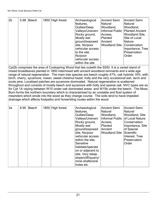| $\overline{2b}$ | 5.68 | Beech | 1850 High forest | Archaeological<br>features,<br>Gullies/Deep<br>Valleys/Uneven/<br>Rocky ground,<br>Mostly wet<br>ground/exposed<br>site, No/poor<br>vehicular access | Ancient Semi<br>Natural<br>Woodland,<br>Access,<br>Planted<br>Ancient<br><b>Woodland Site Conservation</b> | Ancient Semi<br>Natural<br>Woodland,<br>Informal Public   Planted Ancient<br>Woodland Site,<br>Site of Local<br>Nature |
|-----------------|------|-------|------------------|------------------------------------------------------------------------------------------------------------------------------------------------------|------------------------------------------------------------------------------------------------------------|------------------------------------------------------------------------------------------------------------------------|
|                 |      |       |                  |                                                                                                                                                      |                                                                                                            | Importance, Tree                                                                                                       |
|                 |      |       |                  | to the site,                                                                                                                                         |                                                                                                            | Preservation                                                                                                           |
|                 |      |       |                  | No/poor<br>vehicular access<br>within the site                                                                                                       |                                                                                                            | Order                                                                                                                  |

Cpt2b comprises the area of Cookspring Wood that lies outwith the SSSI. It is a varied stand of mixed broadleaves planted in 1850 intermixed with ancient woodland remnants and a wide age range of natural regeneration. The main tree species are beech roughly 47%, oak hybrids 16%, with birch, cherry, sycamore, rowan, sweet chestnut hazel, holly and the very occaisional ash, larch and scots pine. Localised patches are sycamore dominated. Natural regeneration is scatterred throughout and consists of mostly beech and sycamore with holly and sparse oak. NVC types are as for Cpt 1A vaying between W10 under oak dominated areas and W15b under the beech. The Moss Burn forms the northern boundary which is characterised by an unstable and fluid system of meanders which erode into the wood as they change course. The soils tend to have impeded drainage which affects footpaths and horseriding routes within the wood.

| 3a | 8.90 | <b>Beech</b> | 1850 High forest | Archaeological<br>features,<br>Gullies/Deep<br>Valleys/Uneven/<br>Rocky ground,<br>Mostly wet<br>ground/exposed<br>site, No/poor<br>vehicular access<br>within the site,<br>Sensitive<br>habitats/species<br>on or adjacent to<br>site, Very steep<br>slope/cliff/quarry/<br>mine shafts/sink<br>holes etc | Ancient Semi<br>Natural<br>Woodland,<br>Informal Public   of Local Nature<br>Access,<br>Planted<br>Ancient<br><b>Woodland Site</b> | Ancient Semi<br>Natural<br>Woodland, Site<br>Conservation<br>Importance, Site<br>of Special<br>Scientific<br>Interest, Tree<br>Preservation<br>Order |
|----|------|--------------|------------------|------------------------------------------------------------------------------------------------------------------------------------------------------------------------------------------------------------------------------------------------------------------------------------------------------------|------------------------------------------------------------------------------------------------------------------------------------|------------------------------------------------------------------------------------------------------------------------------------------------------|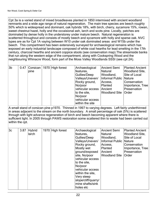Cpt 3a is a varied stand of mixed broadleaves planted in 1850 intermixed with ancient woodland remnants and a wide age range of natural regeneration. The main tree species are beech roughly 50% which is widespread and dominant, oak hybrids 18%, with birch, cherry, sycamore 15%, rowan, sweet chestnut hazel, holly and the occaisional ash, larch and scots pine. Locally, patches are dominated by dense holly in the understorey under mature beech. Natural regeneration is scatterred throughout and consists of mostly beech and sycamore with holly and sparse oak. NVC types are as for Cpt 1A vaying between W10 under oak dominated areas and W15b under the beech. This compartment has been extensively surveyed for archaeological remains which has exposed an early industrial landscape composed of white coal hearths for lead smelting in the 17th century, charcoal hearths and ancient coppice stools (see conservation map).The streamside banks that run along the western edge of the compartment, along with Cookspring Wood and the neighbouring Whinacre Wood, form part of the Moss Valley Woodlands SSSI (see cpt 2A).

| 3b | 0.47 |      | Corsican   1970 High forest | Archaeological   | Ancient Semi           | <b>Planted Ancient</b> |
|----|------|------|-----------------------------|------------------|------------------------|------------------------|
|    |      | pine |                             | features,        | Natural                | <b>Woodland Site,</b>  |
|    |      |      |                             | Gullies/Deep     | Woodland,              | Site of Local          |
|    |      |      |                             | Valleys/Uneven/  | Informal Public Nature |                        |
|    |      |      |                             | Rocky ground,    | Access,                | Conservation           |
|    |      |      |                             | No/poor          | Planted                | Importance, Tree       |
|    |      |      |                             | vehicular access | Ancient                | Preservation           |
|    |      |      |                             | to the site,     | Woodland Site   Order  |                        |
|    |      |      |                             | No/poor          |                        |                        |
|    |      |      |                             | vehicular access |                        |                        |
|    |      |      |                             | within the site  |                        |                        |

A small stand of corsican pine p1970. Thinned in 1997 to varying degrees. Left fairly underthinned in areas adjacent to the stream on the north boundary. A small percentage of oak (5%) is scattered through with light advance regeneration of birch and beech becoming apparent where there is sufficient light. In 2005 through PAWS restoration some scattered thin to waste had been carried out within the cpt.

| 3c | 3.87 | Hybrid | 1970 High forest | Archaeological      | Ancient Semi             | <b>Planted Ancient</b> |
|----|------|--------|------------------|---------------------|--------------------------|------------------------|
|    |      | larch  |                  | features,           | Natural                  | <b>Woodland Site,</b>  |
|    |      |        |                  | Gullies/Deep        | Woodland,                | Site of Local          |
|    |      |        |                  | Valleys/Uneven/     | Informal Public   Nature |                        |
|    |      |        |                  | Rocky ground,       | Access,                  | Conservation           |
|    |      |        |                  | Mostly wet          | Planted                  | Importance, Tree       |
|    |      |        |                  | ground/exposed      | Ancient                  | Preservation           |
|    |      |        |                  | site, No/poor       | <b>Woodland Site</b>     | Order                  |
|    |      |        |                  | vehicular access    |                          |                        |
|    |      |        |                  | to the site,        |                          |                        |
|    |      |        |                  | No/poor             |                          |                        |
|    |      |        |                  | vehicular access    |                          |                        |
|    |      |        |                  | within the site,    |                          |                        |
|    |      |        |                  | Very steep          |                          |                        |
|    |      |        |                  | slope/cliff/quarry/ |                          |                        |
|    |      |        |                  | mine shafts/sink    |                          |                        |
|    |      |        |                  | holes etc           |                          |                        |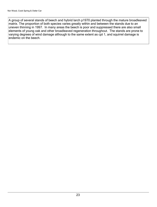A group of several stands of beech and hybrid larch p1970 planted through the mature broadleaved matrix. The proportion of both species varies greatly within and between the stands due to an uneven thinning in 1997. In many areas the beech is poor and suppressed there are also small elements of young oak and other broadleaved regeneration throughout. The stands are prone to varying degrees of wind damage although to the same extent as cpt 1, and squirrel damage is endemic on the beech.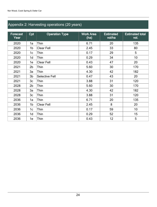## Appendix 2: Harvesting operations (20 years)

| <b>Forecast</b><br>Year | Cpt            | <b>Operation Type</b> | <b>Work Area</b><br>(ha) | <b>Estimated</b><br>vol/ha | <b>Estimated total</b><br>vol. |
|-------------------------|----------------|-----------------------|--------------------------|----------------------------|--------------------------------|
| 2020                    | 1a             | Thin                  | 6.71                     | 20                         | 135                            |
| 2020                    | 1b             | <b>Clear Fell</b>     | 2.45                     | 33                         | 80                             |
| 2020                    | 1c             | Thin                  | 0.17                     | 29                         | 5                              |
| 2020                    | 1d             | Thin                  | 0.29                     | 34                         | 10                             |
| 2020                    | 1e             | <b>Clear Fell</b>     | 0.43                     | 47                         | 20                             |
| 2021                    | 2 <sub>b</sub> | Thin                  | 5.60                     | 30                         | 170                            |
| 2021                    | 3a             | Thin                  | 4.30                     | 42                         | 182                            |
| 2021                    | 3 <sub>b</sub> | <b>Selective Fell</b> | 0.47                     | 43                         | 20                             |
| 2021                    | 3 <sub>c</sub> | Thin                  | 3.88                     | 31                         | 120                            |
| 2028                    | 2 <sub>b</sub> | Thin                  | 5.60                     | 30                         | 170                            |
| 2028                    | 3a             | Thin                  | 4.30                     | 42                         | 182                            |
| 2028                    | 3 <sub>c</sub> | Thin                  | 3.88                     | 31                         | 120                            |
| 2036                    | 1a             | Thin                  | 6.71                     | 20                         | 135                            |
| 2036                    | 1b             | <b>Clear Fell</b>     | 2.45                     | 8                          | 20                             |
| 2036                    | 1c             | Thin                  | 0.17                     | 59                         | 10                             |
| 2036                    | 1d             | Thin                  | 0.29                     | 52                         | 15                             |
| 2036                    | 1e             | Thin                  | 0.43                     | 12                         | 5                              |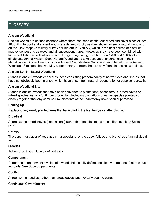## **GLOSSARY**

#### Ancient Woodland

Ancient woods are defined as those where there has been continuous woodland cover since at least 1600 AD. In Scotland ancient woods are defined strictly as sites shown as semi-natural woodland on the 'Roy' maps (a military survey carried out in 1750 AD, which is the best source of historical map evidence) and as woodland all subsequent maps. However, they have been combined with long-established woods of semi-natural origin (originating from between 1750 and 1860) into a single category of Ancient Semi-Natural Woodland to take account of uncertainties in their identification. Ancient woods include Ancient Semi-Natural Woodland and plantations on Ancient Woodland Sites (see below). May support many species that are only found in ancient woodland.

#### Ancient Semi - Natural Woodland

Stands in ancient woods defined as those consisting predominantly of native trees and shrubs that have not obviously been planted, which have arisen from natural regeneration or coppice regrowth.

#### Ancient Woodland Site

Stands in ancient woods that have been converted to plantations, of coniferous, broadleaved or mixed species, usually for timber production, including plantations of native species planted so closely together that any semi-natural elements of the understorey have been suppressed.

#### Beating Up

Replacing any newly planted trees that have died in the first few years after planting.

#### **Broadleaf**

A tree having broad leaves (such as oak) rather than needles found on conifers (such as Scots pine).

#### **Canopy**

The uppermost layer of vegetation in a woodland, or the upper foliage and branches of an individual tree.

#### Clearfell

Felling of all trees within a defined area.

#### **Compartment**

Permanent management division of a woodland, usually defined on site by permanent features such as roads. See Sub-compartments.

#### **Conifer**

A tree having needles, rather than broadleaves, and typically bearing cones.

#### Continuous Cover forestry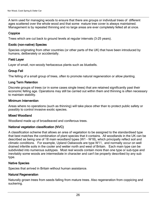A term used for managing woods to ensure that there are groups or individual trees of different ages scattered over the whole wood and that some mature tree cover is always maintained. Management is by repeated thinning and no large areas are ever completely felled all at once.

#### **Coppice**

Trees which are cut back to ground levels at regular intervals (3-25 years).

#### Exotic (non-native) Species

Species originating from other countries (or other parts of the UK) that have been introduced by humans, deliberately or accidentally.

#### Field Layer

Layer of small, non-woody herbaceous plants such as bluebells.

#### Group Fell

The felling of a small group of trees, often to promote natural regeneration or allow planting.

#### Long Term Retention

Discrete groups of trees (or in some cases single trees) that are retained significantly past their economic felling age. Operations may still be carried out within them and thinning is often necessary to maintain stability.

#### Minimum Intervention

Areas where no operations (such as thinning) will take place other than to protect public safety or possibly to control invasive exotic species.

#### Mixed Woodland

Woodland made up of broadleaved and coniferous trees.

#### National vegetation classification (NVC)

A classification scheme that allows an area of vegetation to be assigned to the standardised type that best matches the combination of plant species that it contains. All woodlands in the UK can be described as being one of 18 main woodland types (W1 - W18), which principally reflect soil and climatic conditions. For example, Upland Oakwoods are type W11, and normally occur on well drained infertile soils in the cooler and wetter north and west of Britain. Each main type can be subdivided into numerous subtypes. Most real woods contain more than one type or sub-type and inevitably some woods are intermediate in character and can't be properly described by any sub type.

#### Native Species

Species that arrived in Britain without human assistance.

#### Natural Regeneration

Naturally grown trees from seeds falling from mature trees. Also regeneration from coppicing and suckering.